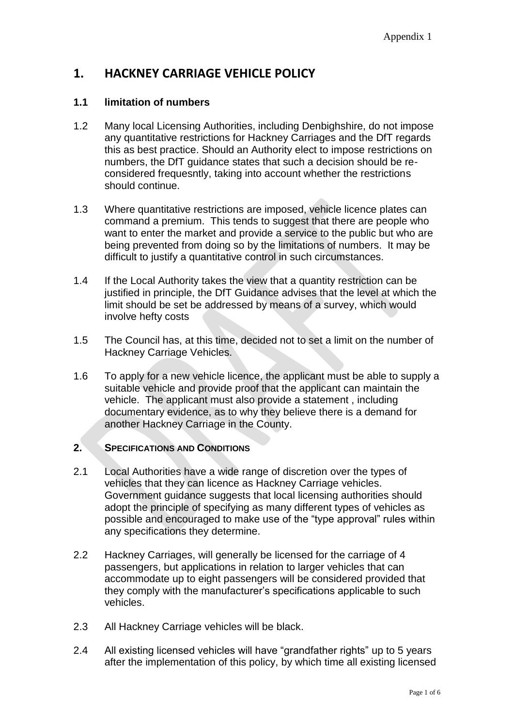# **1. HACKNEY CARRIAGE VEHICLE POLICY**

## **1.1 limitation of numbers**

- 1.2 Many local Licensing Authorities, including Denbighshire, do not impose any quantitative restrictions for Hackney Carriages and the DfT regards this as best practice. Should an Authority elect to impose restrictions on numbers, the DfT guidance states that such a decision should be reconsidered frequesntly, taking into account whether the restrictions should continue.
- 1.3 Where quantitative restrictions are imposed, vehicle licence plates can command a premium. This tends to suggest that there are people who want to enter the market and provide a service to the public but who are being prevented from doing so by the limitations of numbers. It may be difficult to justify a quantitative control in such circumstances.
- 1.4 If the Local Authority takes the view that a quantity restriction can be justified in principle, the DfT Guidance advises that the level at which the limit should be set be addressed by means of a survey, which would involve hefty costs
- 1.5 The Council has, at this time, decided not to set a limit on the number of Hackney Carriage Vehicles.
- 1.6 To apply for a new vehicle licence, the applicant must be able to supply a suitable vehicle and provide proof that the applicant can maintain the vehicle. The applicant must also provide a statement , including documentary evidence, as to why they believe there is a demand for another Hackney Carriage in the County.

#### **2. SPECIFICATIONS AND CONDITIONS**

- 2.1 Local Authorities have a wide range of discretion over the types of vehicles that they can licence as Hackney Carriage vehicles. Government guidance suggests that local licensing authorities should adopt the principle of specifying as many different types of vehicles as possible and encouraged to make use of the "type approval" rules within any specifications they determine.
- 2.2 Hackney Carriages, will generally be licensed for the carriage of 4 passengers, but applications in relation to larger vehicles that can accommodate up to eight passengers will be considered provided that they comply with the manufacturer's specifications applicable to such vehicles.
- 2.3 All Hackney Carriage vehicles will be black.
- 2.4 All existing licensed vehicles will have "grandfather rights" up to 5 years after the implementation of this policy, by which time all existing licensed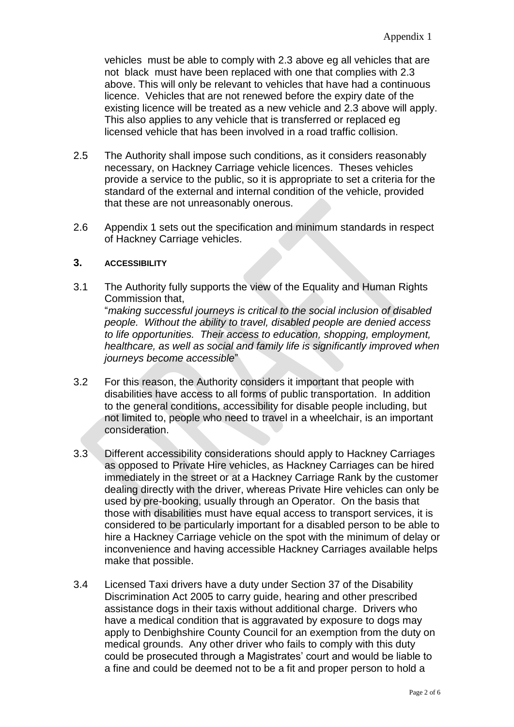vehicles must be able to comply with 2.3 above eg all vehicles that are not black must have been replaced with one that complies with 2.3 above. This will only be relevant to vehicles that have had a continuous licence. Vehicles that are not renewed before the expiry date of the existing licence will be treated as a new vehicle and 2.3 above will apply. This also applies to any vehicle that is transferred or replaced eg licensed vehicle that has been involved in a road traffic collision.

- 2.5 The Authority shall impose such conditions, as it considers reasonably necessary, on Hackney Carriage vehicle licences. Theses vehicles provide a service to the public, so it is appropriate to set a criteria for the standard of the external and internal condition of the vehicle, provided that these are not unreasonably onerous.
- 2.6 Appendix 1 sets out the specification and minimum standards in respect of Hackney Carriage vehicles.

#### **3. ACCESSIBILITY**

- 3.1 The Authority fully supports the view of the Equality and Human Rights Commission that, "*making successful journeys is critical to the social inclusion of disabled people. Without the ability to travel, disabled people are denied access to life opportunities. Their access to education, shopping, employment, healthcare, as well as social and family life is significantly improved when journeys become accessible*"
- 3.2 For this reason, the Authority considers it important that people with disabilities have access to all forms of public transportation. In addition to the general conditions, accessibility for disable people including, but not limited to, people who need to travel in a wheelchair, is an important consideration.
- 3.3 Different accessibility considerations should apply to Hackney Carriages as opposed to Private Hire vehicles, as Hackney Carriages can be hired immediately in the street or at a Hackney Carriage Rank by the customer dealing directly with the driver, whereas Private Hire vehicles can only be used by pre-booking, usually through an Operator. On the basis that those with disabilities must have equal access to transport services, it is considered to be particularly important for a disabled person to be able to hire a Hackney Carriage vehicle on the spot with the minimum of delay or inconvenience and having accessible Hackney Carriages available helps make that possible.
- 3.4 Licensed Taxi drivers have a duty under Section 37 of the Disability Discrimination Act 2005 to carry guide, hearing and other prescribed assistance dogs in their taxis without additional charge. Drivers who have a medical condition that is aggravated by exposure to dogs may apply to Denbighshire County Council for an exemption from the duty on medical grounds. Any other driver who fails to comply with this duty could be prosecuted through a Magistrates' court and would be liable to a fine and could be deemed not to be a fit and proper person to hold a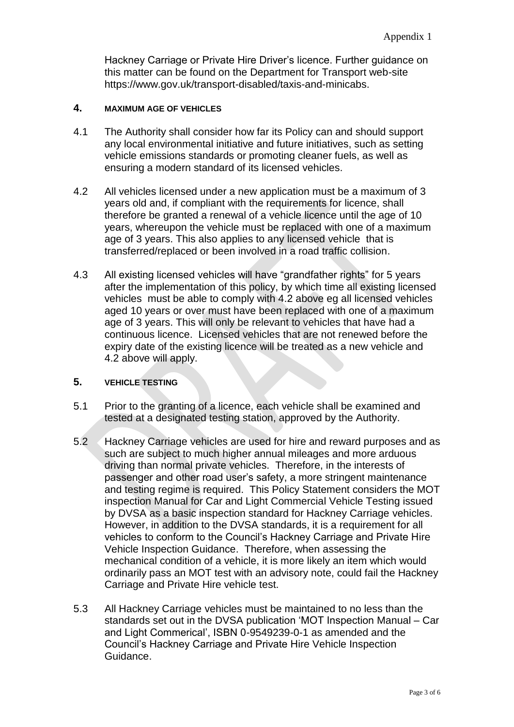Hackney Carriage or Private Hire Driver's licence. Further guidance on this matter can be found on the Department for Transport web-site https://www.gov.uk/transport-disabled/taxis-and-minicabs.

#### **4. MAXIMUM AGE OF VEHICLES**

- 4.1 The Authority shall consider how far its Policy can and should support any local environmental initiative and future initiatives, such as setting vehicle emissions standards or promoting cleaner fuels, as well as ensuring a modern standard of its licensed vehicles.
- 4.2 All vehicles licensed under a new application must be a maximum of 3 years old and, if compliant with the requirements for licence, shall therefore be granted a renewal of a vehicle licence until the age of 10 years, whereupon the vehicle must be replaced with one of a maximum age of 3 years. This also applies to any licensed vehicle that is transferred/replaced or been involved in a road traffic collision.
- 4.3 All existing licensed vehicles will have "grandfather rights" for 5 years after the implementation of this policy, by which time all existing licensed vehicles must be able to comply with 4.2 above eg all licensed vehicles aged 10 years or over must have been replaced with one of a maximum age of 3 years. This will only be relevant to vehicles that have had a continuous licence. Licensed vehicles that are not renewed before the expiry date of the existing licence will be treated as a new vehicle and 4.2 above will apply.

#### **5. VEHICLE TESTING**

- 5.1 Prior to the granting of a licence, each vehicle shall be examined and tested at a designated testing station, approved by the Authority.
- 5.2 Hackney Carriage vehicles are used for hire and reward purposes and as such are subject to much higher annual mileages and more arduous driving than normal private vehicles. Therefore, in the interests of passenger and other road user's safety, a more stringent maintenance and testing regime is required. This Policy Statement considers the MOT inspection Manual for Car and Light Commercial Vehicle Testing issued by DVSA as a basic inspection standard for Hackney Carriage vehicles. However, in addition to the DVSA standards, it is a requirement for all vehicles to conform to the Council's Hackney Carriage and Private Hire Vehicle Inspection Guidance. Therefore, when assessing the mechanical condition of a vehicle, it is more likely an item which would ordinarily pass an MOT test with an advisory note, could fail the Hackney Carriage and Private Hire vehicle test.
- 5.3 All Hackney Carriage vehicles must be maintained to no less than the standards set out in the DVSA publication 'MOT Inspection Manual – Car and Light Commerical', ISBN 0-9549239-0-1 as amended and the Council's Hackney Carriage and Private Hire Vehicle Inspection Guidance.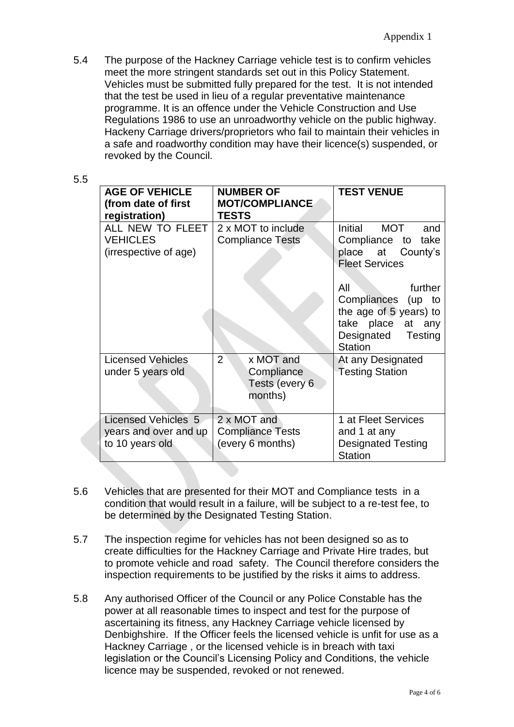5.4 The purpose of the Hackney Carriage vehicle test is to confirm vehicles meet the more stringent standards set out in this Policy Statement. Vehicles must be submitted fully prepared for the test. It is not intended that the test be used in lieu of a regular preventative maintenance programme. It is an offence under the Vehicle Construction and Use Regulations 1986 to use an unroadworthy vehicle on the public highway. Hackeny Carriage drivers/proprietors who fail to maintain their vehicles in a safe and roadworthy condition may have their licence(s) suspended, or revoked by the Council.

| <b>AGE OF VEHICLE</b><br>(from date of first<br>registration)   | <b>NUMBER OF</b><br><b>MOT/COMPLIANCE</b><br><b>TESTS</b>       | <b>TEST VENUE</b>                                                                                                                                                                                                        |
|-----------------------------------------------------------------|-----------------------------------------------------------------|--------------------------------------------------------------------------------------------------------------------------------------------------------------------------------------------------------------------------|
| ALL NEW TO FLEET<br><b>VEHICLES</b><br>(irrespective of age)    | 2 x MOT to include<br><b>Compliance Tests</b>                   | Initial MOT<br>and<br>Compliance to<br>take<br>place at County's<br><b>Fleet Services</b><br>All<br>further<br>Compliances (up to<br>the age of 5 years) to<br>take place at any<br>Designated Testing<br><b>Station</b> |
| <b>Licensed Vehicles</b><br>under 5 years old                   | $2^{1}$<br>x MOT and<br>Compliance<br>Tests (every 6<br>months) | At any Designated<br><b>Testing Station</b>                                                                                                                                                                              |
| Licensed Vehicles 5<br>years and over and up<br>to 10 years old | 2 x MOT and<br><b>Compliance Tests</b><br>(every 6 months)      | 1 at Fleet Services<br>and 1 at any<br><b>Designated Testing</b><br><b>Station</b>                                                                                                                                       |

- 5.6 Vehicles that are presented for their MOT and Compliance tests in a condition that would result in a failure, will be subject to a re-test fee, to be determined by the Designated Testing Station.
- 5.7 The inspection regime for vehicles has not been designed so as to create difficulties for the Hackney Carriage and Private Hire trades, but to promote vehicle and road safety. The Council therefore considers the inspection requirements to be justified by the risks it aims to address.
- 5.8 Any authorised Officer of the Council or any Police Constable has the power at all reasonable times to inspect and test for the purpose of ascertaining its fitness, any Hackney Carriage vehicle licensed by Denbighshire. If the Officer feels the licensed vehicle is unfit for use as a Hackney Carriage , or the licensed vehicle is in breach with taxi legislation or the Council's Licensing Policy and Conditions, the vehicle licence may be suspended, revoked or not renewed.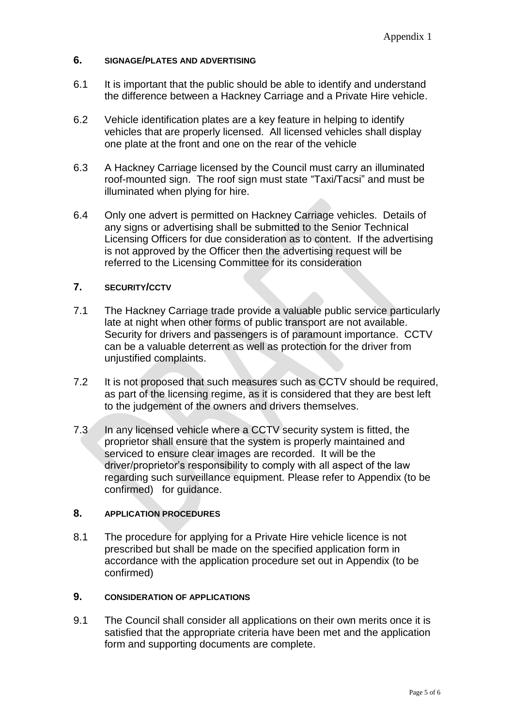#### **6. SIGNAGE/PLATES AND ADVERTISING**

- 6.1 It is important that the public should be able to identify and understand the difference between a Hackney Carriage and a Private Hire vehicle.
- 6.2 Vehicle identification plates are a key feature in helping to identify vehicles that are properly licensed. All licensed vehicles shall display one plate at the front and one on the rear of the vehicle
- 6.3 A Hackney Carriage licensed by the Council must carry an illuminated roof-mounted sign. The roof sign must state "Taxi/Tacsi" and must be illuminated when plying for hire.
- 6.4 Only one advert is permitted on Hackney Carriage vehicles. Details of any signs or advertising shall be submitted to the Senior Technical Licensing Officers for due consideration as to content. If the advertising is not approved by the Officer then the advertising request will be referred to the Licensing Committee for its consideration

#### **7. SECURITY/CCTV**

- 7.1 The Hackney Carriage trade provide a valuable public service particularly late at night when other forms of public transport are not available. Security for drivers and passengers is of paramount importance. CCTV can be a valuable deterrent as well as protection for the driver from unjustified complaints.
- 7.2 It is not proposed that such measures such as CCTV should be required, as part of the licensing regime, as it is considered that they are best left to the judgement of the owners and drivers themselves.
- 7.3 In any licensed vehicle where a CCTV security system is fitted, the proprietor shall ensure that the system is properly maintained and serviced to ensure clear images are recorded. It will be the driver/proprietor's responsibility to comply with all aspect of the law regarding such surveillance equipment. Please refer to Appendix (to be confirmed) for guidance.

## **8. APPLICATION PROCEDURES**

8.1 The procedure for applying for a Private Hire vehicle licence is not prescribed but shall be made on the specified application form in accordance with the application procedure set out in Appendix (to be confirmed)

#### **9. CONSIDERATION OF APPLICATIONS**

9.1 The Council shall consider all applications on their own merits once it is satisfied that the appropriate criteria have been met and the application form and supporting documents are complete.